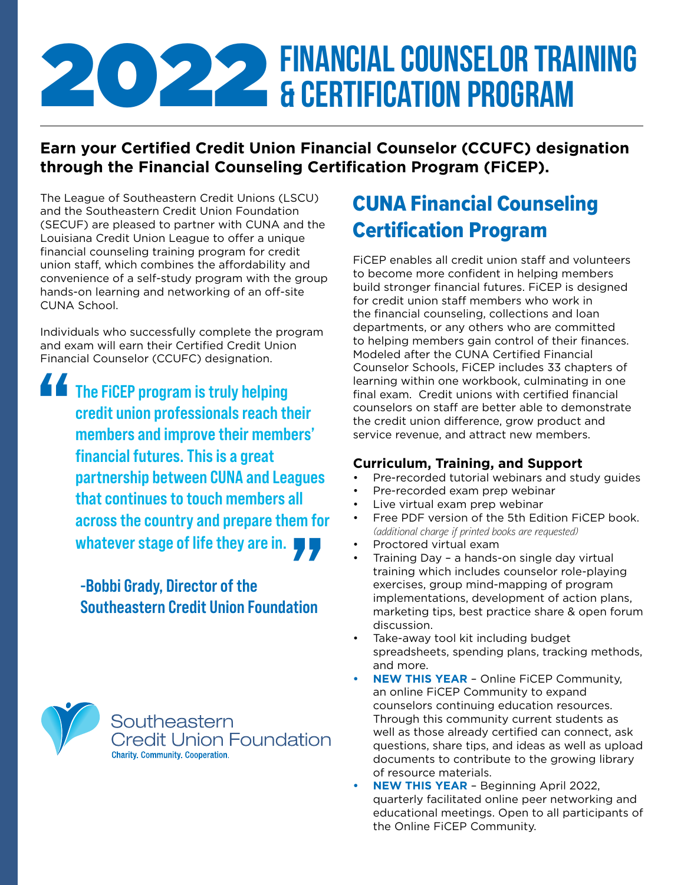# **2022 FINANCIAL COUNSELOR TRAINING**<br>& CERTIFICATION PROGRAM & Certification Program

## **Earn your Certified Credit Union Financial Counselor (CCUFC) designation through the Financial Counseling Certification Program (FiCEP).**

The League of Southeastern Credit Unions (LSCU) and the Southeastern Credit Union Foundation (SECUF) are pleased to partner with CUNA and the Louisiana Credit Union League to offer a unique financial counseling training program for credit union staff, which combines the affordability and convenience of a self-study program with the group hands-on learning and networking of an off-site CUNA School.

Individuals who successfully complete the program and exam will earn their Certified Credit Union Financial Counselor (CCUFC) designation.

The FiCEP program is truly helping credit union professionals reach their members and improve their members' financial futures. This is a great partnership between CUNA and Leagues that continues to touch members all across the country and prepare them for whatever stage of life they are in. " 77

> -Bobbi Grady, Director of the Southeastern Credit Union Foundation



## CUNA Financial Counseling Certification Program

FiCEP enables all credit union staff and volunteers to become more confident in helping members build stronger financial futures. FiCEP is designed for credit union staff members who work in the financial counseling, collections and loan departments, or any others who are committed to helping members gain control of their finances. Modeled after the CUNA Certified Financial Counselor Schools, FiCEP includes 33 chapters of learning within one workbook, culminating in one final exam. Credit unions with certified financial counselors on staff are better able to demonstrate the credit union difference, grow product and service revenue, and attract new members.

### **Curriculum, Training, and Support**

- Pre-recorded tutorial webinars and study guides
- Pre-recorded exam prep webinar
- Live virtual exam prep webinar
- Free PDF version of the 5th Edition FiCEP book. *(additional charge if printed books are requested)*
- Proctored virtual exam
- Training Day a hands-on single day virtual training which includes counselor role-playing exercises, group mind-mapping of program implementations, development of action plans, marketing tips, best practice share & open forum discussion.
- Take-away tool kit including budget spreadsheets, spending plans, tracking methods, and more.
- **• NEW THIS YEAR** Online FiCEP Community, an online FiCEP Community to expand counselors continuing education resources. Through this community current students as well as those already certified can connect, ask questions, share tips, and ideas as well as upload documents to contribute to the growing library of resource materials.
- **• NEW THIS YEAR** Beginning April 2022, quarterly facilitated online peer networking and educational meetings. Open to all participants of the Online FiCEP Community.